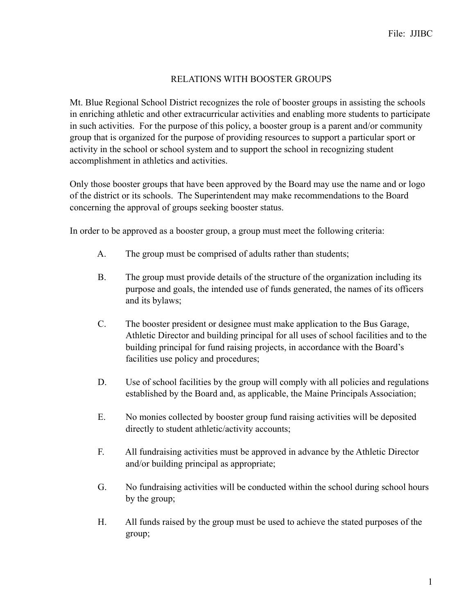## RELATIONS WITH BOOSTER GROUPS

Mt. Blue Regional School District recognizes the role of booster groups in assisting the schools in enriching athletic and other extracurricular activities and enabling more students to participate in such activities. For the purpose of this policy, a booster group is a parent and/or community group that is organized for the purpose of providing resources to support a particular sport or activity in the school or school system and to support the school in recognizing student accomplishment in athletics and activities.

Only those booster groups that have been approved by the Board may use the name and or logo of the district or its schools. The Superintendent may make recommendations to the Board concerning the approval of groups seeking booster status.

In order to be approved as a booster group, a group must meet the following criteria:

- A. The group must be comprised of adults rather than students;
- B. The group must provide details of the structure of the organization including its purpose and goals, the intended use of funds generated, the names of its officers and its bylaws;
- C. The booster president or designee must make application to the Bus Garage, Athletic Director and building principal for all uses of school facilities and to the building principal for fund raising projects, in accordance with the Board's facilities use policy and procedures;
- D. Use of school facilities by the group will comply with all policies and regulations established by the Board and, as applicable, the Maine Principals Association;
- E. No monies collected by booster group fund raising activities will be deposited directly to student athletic/activity accounts;
- F. All fundraising activities must be approved in advance by the Athletic Director and/or building principal as appropriate;
- G. No fundraising activities will be conducted within the school during school hours by the group;
- H. All funds raised by the group must be used to achieve the stated purposes of the group;